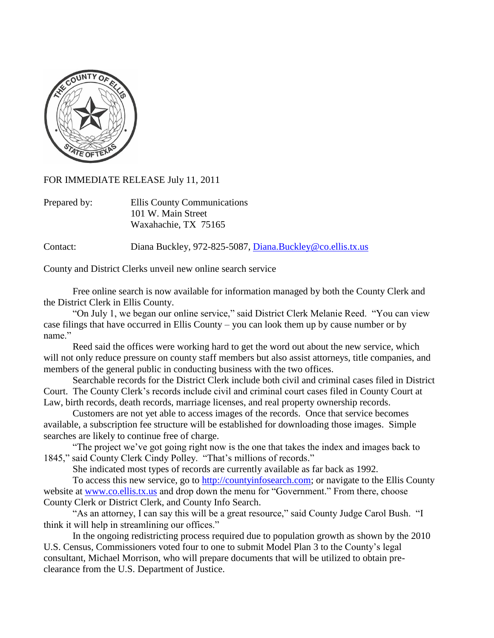

## FOR IMMEDIATE RELEASE July 11, 2011

| Prepared by: | Ellis County Communications |
|--------------|-----------------------------|
|              | 101 W. Main Street          |
|              | Waxahachie, TX 75165        |

Contact: Diana Buckley, 972-825-5087, [Diana.Buckley@co.ellis.tx.us](mailto:Diana.Buckley@co.ellis.tx.us)

County and District Clerks unveil new online search service

Free online search is now available for information managed by both the County Clerk and the District Clerk in Ellis County.

"On July 1, we began our online service," said District Clerk Melanie Reed. "You can view case filings that have occurred in Ellis County – you can look them up by cause number or by name."

Reed said the offices were working hard to get the word out about the new service, which will not only reduce pressure on county staff members but also assist attorneys, title companies, and members of the general public in conducting business with the two offices.

Searchable records for the District Clerk include both civil and criminal cases filed in District Court. The County Clerk's records include civil and criminal court cases filed in County Court at Law, birth records, death records, marriage licenses, and real property ownership records.

Customers are not yet able to access images of the records. Once that service becomes available, a subscription fee structure will be established for downloading those images. Simple searches are likely to continue free of charge.

"The project we've got going right now is the one that takes the index and images back to 1845," said County Clerk Cindy Polley. "That's millions of records."

She indicated most types of records are currently available as far back as 1992.

To access this new service, go to [http://countyinfosearch.com;](http://countyinfosearch.com/) or navigate to the Ellis County website at [www.co.ellis.tx.us](http://www.co.ellis.tx.us/) and drop down the menu for "Government." From there, choose County Clerk or District Clerk, and County Info Search.

"As an attorney, I can say this will be a great resource," said County Judge Carol Bush. "I think it will help in streamlining our offices."

In the ongoing redistricting process required due to population growth as shown by the 2010 U.S. Census, Commissioners voted four to one to submit Model Plan 3 to the County's legal consultant, Michael Morrison, who will prepare documents that will be utilized to obtain preclearance from the U.S. Department of Justice.